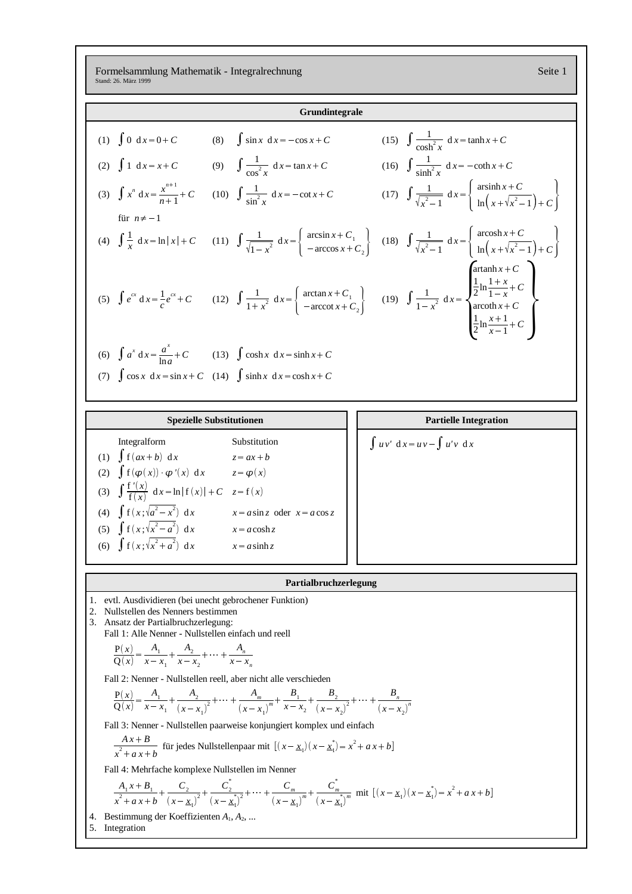Formelsammlung Mathematik - Integralrechnung Seite 1 Stand: 26. März 1999

| Grundintegrale                                                                                                                                                                                     |                                                                                                                                                                                         |                                                                                                                                                                                                                                                                                                                                      |  |  |  |  |
|----------------------------------------------------------------------------------------------------------------------------------------------------------------------------------------------------|-----------------------------------------------------------------------------------------------------------------------------------------------------------------------------------------|--------------------------------------------------------------------------------------------------------------------------------------------------------------------------------------------------------------------------------------------------------------------------------------------------------------------------------------|--|--|--|--|
|                                                                                                                                                                                                    | (1) $\int 0 dx = 0 + C$ (8) $\int \sin x dx = -\cos x + C$                                                                                                                              | (15) $\int \frac{1}{\cosh^2 x} dx = \tanh x + C$                                                                                                                                                                                                                                                                                     |  |  |  |  |
|                                                                                                                                                                                                    | (2) $\int 1 dx = x + C$ (9) $\int \frac{1}{\cos^2 x} dx = \tan x + C$                                                                                                                   | (16) $\int \frac{1}{\sinh^2 x} dx = -\coth x + C$                                                                                                                                                                                                                                                                                    |  |  |  |  |
|                                                                                                                                                                                                    |                                                                                                                                                                                         | (3) $\int x^n dx = \frac{x^{n+1}}{n+1} + C$ (10) $\int \frac{1}{\sin^2 x} dx = -\cot x + C$ (17) $\int \frac{1}{\sqrt{x^2 - 1}} dx = \begin{cases} \operatorname{arsinh} x + C \\ \ln(x + \sqrt{x^2 - 1}) + C \end{cases}$                                                                                                           |  |  |  |  |
| für $n \neq -1$                                                                                                                                                                                    |                                                                                                                                                                                         | (4) $\int \frac{1}{x} dx = \ln  x  + C$ (11) $\int \frac{1}{\sqrt{1-x^2}} dx = \begin{cases} \arcsin x + C_1 \\ -\arccos x + C_2 \end{cases}$ (18) $\int \frac{1}{\sqrt{x^2-1}} dx = \begin{cases} \arcsin x + C \\ \ln(x + \sqrt{x^2-1}) + C \end{cases}$                                                                           |  |  |  |  |
|                                                                                                                                                                                                    |                                                                                                                                                                                         | $\operatorname{artanh} x + C$<br>(5) $\int e^{cx} dx = \frac{1}{c} e^{cx} + C$ (12) $\int \frac{1}{1+x^2} dx = \begin{cases} \arctan x + C_1 \\ -\arccot x + C_2 \end{cases}$ (19) $\int \frac{1}{1-x^2} dx = \begin{cases} \frac{1}{2} \ln \frac{1+x}{1-x} + C \\ \arcoth x + C \\ \frac{1}{2} \ln \frac{x+1}{x-1} + C \end{cases}$ |  |  |  |  |
|                                                                                                                                                                                                    | (6) $\int a^x dx = \frac{a^4}{\ln a} + C$ (13) $\int \cosh x dx = \sinh x + C$                                                                                                          |                                                                                                                                                                                                                                                                                                                                      |  |  |  |  |
|                                                                                                                                                                                                    | (7) $\int \cos x \, dx = \sin x + C$ (14) $\int \sinh x \, dx = \cosh x + C$                                                                                                            |                                                                                                                                                                                                                                                                                                                                      |  |  |  |  |
|                                                                                                                                                                                                    |                                                                                                                                                                                         |                                                                                                                                                                                                                                                                                                                                      |  |  |  |  |
|                                                                                                                                                                                                    | <b>Spezielle Substitutionen</b>                                                                                                                                                         | <b>Partielle Integration</b>                                                                                                                                                                                                                                                                                                         |  |  |  |  |
| Integralform                                                                                                                                                                                       | Substitution                                                                                                                                                                            | $\int uv' dx = uv - \int u'v dx$                                                                                                                                                                                                                                                                                                     |  |  |  |  |
| (1) $\int f(ax+b) dx$                                                                                                                                                                              | $z = ax + b$                                                                                                                                                                            |                                                                                                                                                                                                                                                                                                                                      |  |  |  |  |
| (2) $\int f(\varphi(x)) \varphi'(x) dx$                                                                                                                                                            | $z = \varphi(x)$                                                                                                                                                                        |                                                                                                                                                                                                                                                                                                                                      |  |  |  |  |
| (3) $\int \frac{f'(x)}{f(x)} dx = \ln  f(x)  + C$ $z = f(x)$                                                                                                                                       |                                                                                                                                                                                         |                                                                                                                                                                                                                                                                                                                                      |  |  |  |  |
|                                                                                                                                                                                                    | (4) $\int f(x;\sqrt{a^2-x^2}) dx$ $x = a \sin z$ oder $x = a \cos z$                                                                                                                    |                                                                                                                                                                                                                                                                                                                                      |  |  |  |  |
| (5) $\int f(x;\sqrt{x^2-a^2}) dx$                                                                                                                                                                  | $x = a \cosh z$                                                                                                                                                                         |                                                                                                                                                                                                                                                                                                                                      |  |  |  |  |
| (6) $\int f(x;\sqrt{x^2+a^2}) dx$                                                                                                                                                                  | $x = a \sinh z$                                                                                                                                                                         |                                                                                                                                                                                                                                                                                                                                      |  |  |  |  |
|                                                                                                                                                                                                    |                                                                                                                                                                                         |                                                                                                                                                                                                                                                                                                                                      |  |  |  |  |
|                                                                                                                                                                                                    |                                                                                                                                                                                         |                                                                                                                                                                                                                                                                                                                                      |  |  |  |  |
|                                                                                                                                                                                                    | Partialbruchzerlegung                                                                                                                                                                   |                                                                                                                                                                                                                                                                                                                                      |  |  |  |  |
| evtl. Ausdividieren (bei unecht gebrochener Funktion)<br>ı.<br>2. Nullstellen des Nenners bestimmen<br>3. Ansatz der Partialbruchzerlegung:<br>Fall 1: Alle Nenner - Nullstellen einfach und reell |                                                                                                                                                                                         |                                                                                                                                                                                                                                                                                                                                      |  |  |  |  |
| $\frac{P(x)}{Q(x)} = \frac{A_1}{x - x_1} + \frac{A_2}{x - x_2} + \dots + \frac{A_n}{x - x_n}$                                                                                                      |                                                                                                                                                                                         |                                                                                                                                                                                                                                                                                                                                      |  |  |  |  |
|                                                                                                                                                                                                    | Fall 2: Nenner - Nullstellen reell, aber nicht alle verschieden                                                                                                                         |                                                                                                                                                                                                                                                                                                                                      |  |  |  |  |
|                                                                                                                                                                                                    | $\frac{P(x)}{Q(x)} = \frac{A_1}{x - x_1} + \frac{A_2}{(x - x_1)^2} + \dots + \frac{A_m}{(x - x_m)^m} + \frac{B_1}{x - x_2} + \frac{B_2}{(x - x_1)^2} + \dots + \frac{B_n}{(x - x_n)^n}$ |                                                                                                                                                                                                                                                                                                                                      |  |  |  |  |
|                                                                                                                                                                                                    |                                                                                                                                                                                         |                                                                                                                                                                                                                                                                                                                                      |  |  |  |  |
|                                                                                                                                                                                                    | Fall 3: Nenner - Nullstellen paarweise konjungiert komplex und einfach<br>$\frac{Ax+B}{x^2+a x+b}$ für jedes Nullstellenpaar mit $[(x-\underline{x}_1)(x-\underline{x}_1^*)=x^2+a x+b]$ |                                                                                                                                                                                                                                                                                                                                      |  |  |  |  |
| Fall 4: Mehrfache komplexe Nullstellen im Nenner                                                                                                                                                   |                                                                                                                                                                                         |                                                                                                                                                                                                                                                                                                                                      |  |  |  |  |

 $\frac{A_1 x + B_1}{x^2 + a x + b} + \frac{C_2}{(x - \underline{x}_1)^2} +$  $\frac{C_2}{(x-\underline{x}_1)^2} + \frac{C_2}{(x-\underline{x}_1^*)^2} +$  $\frac{C_2}{(x-\underline{x}_1)^2} + \dots + \frac{C_m}{(x-\underline{x}_1)^m} +$  $\frac{C_m}{(x-\underline{x}_1)^m} + \frac{C_m}{(x-\underline{x}_1^*)^m}$  $\frac{C_m}{(x - \underline{x}_1)^m}$  mit  $[(x - \underline{x}_1)(x - \underline{x}_1^*) = x^2 + a x + b]$ 

4. Bestimmung der Koeffizienten *A*1, *A*2, ...

5. Integration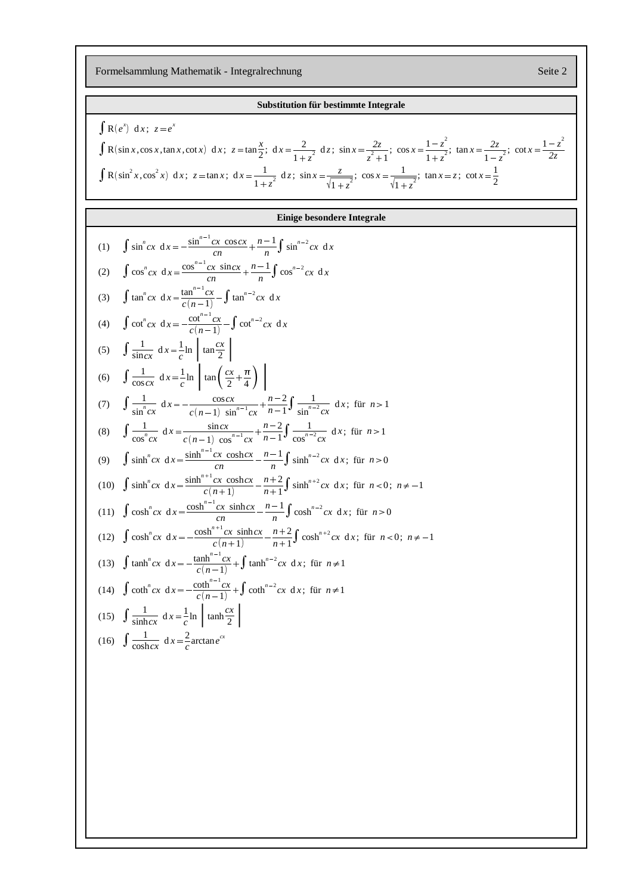Formelsammlung Mathematik - Integralrechnung Seite 2

## **Substitution für bestimmte Integrale**  $\int R(e^x) dx; z = e^x$  $\int$  R(sin *x*, cos *x*, tan *x*, cot *x*) d *x*;  $z = \tan \frac{x}{2}$ ; d *x*  $\frac{x}{2}$ ; dx =  $\frac{2}{1+z^2}$  dz  $\frac{2}{1+z^2}$  dz;  $\sin x = \frac{2z}{z^2+1}$ ; co  $\frac{2z}{z^2+1}$ ; cos  $x = \frac{1-z^2}{1+z^2}$ ; tan x =  $\frac{1-z^2}{1+z^2}$ ; tan  $x = \frac{2z}{1-z^2}$ ; co  $\frac{2z}{1-z^2}$ ; cot  $x = \frac{1-z^2}{2z}$ *2z*  $\int R(\sin^2 x, \cos^2 x) dx$ ;  $z = \tan x$ ;  $dx = \frac{1}{\cos^2 x} dx$  $\frac{1}{1+z^2}$  dz;  $\sin x = \frac{z}{\sqrt{1+z^2}}$ ;  $\cos x = \frac{1}{\sqrt{1+z^2}}$ ;  $\tan x = z$ ;  $\cot x = \frac{1}{2}$ 2 **Einige besondere Integrale** (1)  $\int \sin^n cx \, dx = -\frac{\sin^{n-1} cx \cos cx}{\sin^{n-1} cx}$ *cn*  $n^{J}$  $n-1$   $\int$   $\ldots$   $n-2$  $\int \sin^{n-2} c x \, dx$ (2)  $\int \cos^n cx \, dx = \frac{\cos^{n-1} cx \, \sin cx}{\cos^{n-1} cx}$  $cn \t n \t J$  $n-1$   $\int_{0}^{1}$   $\int_{0}^{1}$   $\int_{0}^{1}$  $\frac{-1}{n}$  $\int$   $\cos^{n-2} c x \, dx$ (3)  $\int \tan^n cx \, dx = \frac{\tan^{n-1} cx}{c(n-1)} - \int \tan^{n-2} cx \, dx$ (4)  $\int \cot^n cx \, dx = -\frac{\cot^{n-1} cx}{c(n-1)} - \int \cot^{n-2} cx \, dx$ (5)  $\int \frac{1}{\sin cx} dx = \frac{1}{c} \ln \tan \left( \tan \frac{1}{x} \right)$  $\frac{1}{c}$ ln  $\tan \frac{cx}{2}$ (6)  $\int \frac{1}{\cos cx} dx = \frac{1}{c} \ln \tan \theta$  $\frac{1}{c}$ ln  $\left[\tan\left(\frac{cx}{2} + \frac{\pi}{4}\right)\right]$ (7)  $\int \frac{1}{1-n}$  $\int \frac{1}{\sin^n cx} dx = -\frac{\cos cx}{c(n-1) \sin x}$  $c(n-1) \sin^{n-1} c x \quad n-1^{\mathsf{J}} \sin^n$  $n-2$   $\uparrow$  1  $n-1$ <sup>*J*</sup>  $\sin^{n-2}$ 1  $\int \frac{1}{\sin^{n-2}cx} dx$ ; für  $n > 1$ (8)  $\int \frac{1}{n}$  $\int \frac{1}{\cos^n cx} dx = \frac{\sin cx}{c(n-1) \cos^{n-1} x}$  $c(n-1) \cos^{n-1} c x \quad n-1^{\mathbf{J}} \cos^{n}$  $n-2$   $\uparrow$  1  $n-1$ <sup>J</sup>  $\cos^{n-2}$ 1  $\int \frac{1}{\cos^{n-2}cx} dx$ ; für *n* > 1 (9)  $\int \sinh^n cx \, dx = \frac{\sinh^{n-1} cx \, \cosh cx}{\ln x}$ *cn*  $n^{J}$ <sup>511</sup>  $n-1$   $\int$   $\ldots$   $n-1$  $\frac{n-1}{n}$  $\int \sinh^{n-2} c x \, dx$ ; für *n* > 0 (10)  $\int \sinh^n cx \, dx = \frac{\sinh^{n+1} cx \, \cosh cx}{(n+1)}$  $c(n+1)$   $n+1$ <sup>*J*</sup> sm.  $\frac{n+2}{n+1}$  sinh<sup>n+1</sup>  $\int \frac{n+2}{n+1} \int \sinh^{n+2} c x \, dx$ ; für  $n < 0$ ;  $n \neq -1$ (11)  $\int \cosh^n cx \, dx = \frac{\cosh^{n-1} cx \sinh cx}{\cosh^{n-1} cx}$  $cn \t n \t J$  $n-1$   $\int_{1}^{1}$  $\frac{n-1}{n}$  $\int \cosh^{n-2} c x \, dx$ ; für  $n > 0$  $(12)$   $\int \cosh^n cx \, dx = -\frac{\cosh^{n+1} cx \sinh cx}{(n+1)}$  $c(n+1)$   $n+1$ <sup> $j$  co.</sup>  $n+2$   $\int_{1}^{n+1}$  $\frac{n+2}{n+1} \int \cosh^{n+2} c x \, dx$ ; für  $n < 0$ ;  $n \neq -1$ (13)  $\int \tanh^n cx \, dx = -\frac{\tanh^{n-1} cx}{c(n-1)} + \int \tanh^{n-2} cx \, dx$ ; für  $n \neq 1$ (14)  $\int \coth^n cx \, dx = -\frac{\coth^{n-1} cx}{c(n-1)} + \int \coth^{n-2} cx \, dx$ ; für  $n \neq 1$ (15)  $\int \frac{1}{\sinh cx} dx = \frac{1}{c} \ln \left| \tanh \left( \frac{1}{\sinh \left( \frac{1}{c} \right)} \right) \right|$  $\frac{1}{c}$ ln  $\tanh \frac{cx}{2}$ (16)  $\int \frac{1}{\cosh cx} dx = \frac{2}{c} \arctan e^{cx}$  $\frac{2}{c}$  arctan *e*<sup>*cx*</sup>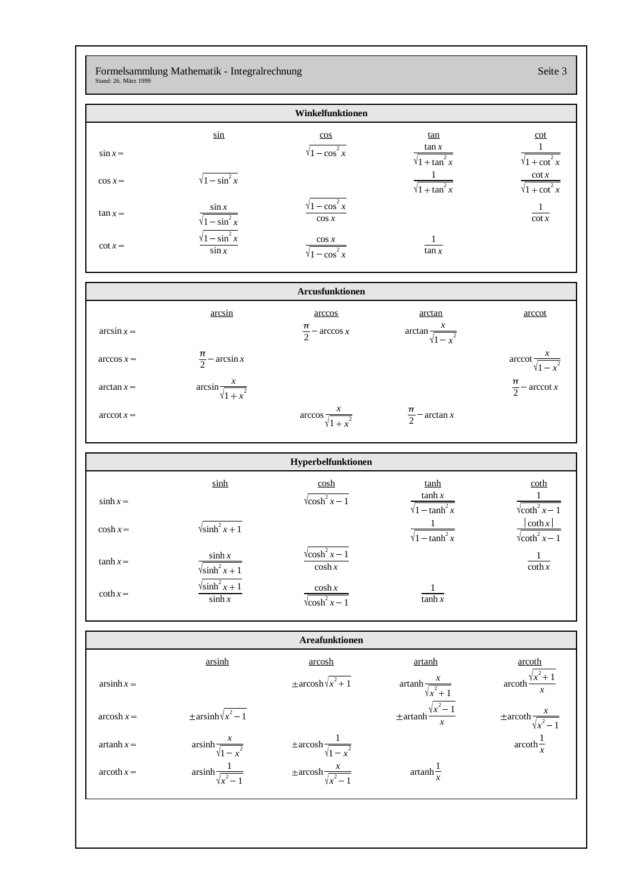Formelsammlung Mathematik - Integralrechnung Seite 3 Stand: 26. März 1999

|                 |                                                                                                | Winkelfunktionen                                   |                                                |                                                    |
|-----------------|------------------------------------------------------------------------------------------------|----------------------------------------------------|------------------------------------------------|----------------------------------------------------|
|                 | $\sin$                                                                                         | $\cos$                                             | <u>tan</u>                                     | cot                                                |
| $\sin x =$      |                                                                                                | $\sqrt{1-\cos^2 x}$                                | $\frac{\tan x}{\sqrt{1 + \tan^2 x}}$           | $\frac{1}{\sqrt{1+\cot^2 x}}$                      |
| $\cos x =$      | $\sqrt{1-\sin^2 x}$                                                                            |                                                    | $\frac{1}{\sqrt{1 + \tan^2 x}}$                | $\frac{\cot x}{\sqrt{1+\cot^2 x}}$                 |
| $\tan x =$      | $\frac{\sin x}{\sqrt{1-\sin^2 x}}$                                                             | $\sqrt{1-\cos^2 x}$<br>$\cos x$                    |                                                | $\frac{1}{\cot x}$                                 |
| $\cot x =$      | $\frac{\sqrt{1-\sin^2 x}}{\sin x}$                                                             | $\frac{\cos x}{\sqrt{1-\cos^2 x}}$                 | $rac{1}{\tan x}$                               |                                                    |
| Arcusfunktionen |                                                                                                |                                                    |                                                |                                                    |
| $\arcsin x =$   | arcsin                                                                                         | arccos<br>$\frac{\pi}{2}$ – arccos x               | arctan<br>$\arctan \frac{x}{\sqrt{1-x^2}}$     | arccot                                             |
| $\arccos x =$   | $\frac{\pi}{2}$ – arcsin x                                                                     |                                                    |                                                | $\operatorname{arccot} \frac{x}{\sqrt{1-x^2}}$     |
| $arctan x =$    | $\arcsin \frac{x}{\sqrt{1+x^2}}$                                                               |                                                    |                                                | $\frac{\pi}{2}$ – arccot x                         |
| $arccot x =$    |                                                                                                | $\arccos \frac{x}{\sqrt{1+x^2}}$                   | $\frac{\pi}{2}$ – arctan x                     |                                                    |
|                 |                                                                                                | Hyperbelfunktionen                                 |                                                |                                                    |
|                 | sinh                                                                                           | $\cosh$                                            | <u>tanh</u>                                    | <u>coth</u>                                        |
| $\sinh x =$     |                                                                                                |                                                    |                                                |                                                    |
|                 |                                                                                                | $\sqrt{\cosh^2 x - 1}$                             | $\frac{\tanh x}{\sqrt{1-\tanh^2 x}}$           | $\frac{1}{\sqrt{\coth^2 x - 1}}$                   |
| $\cosh x =$     | $\sqrt{\sinh^2 x + 1}$                                                                         |                                                    | $\frac{1}{\sqrt{1-\tanh^2 x}}$                 | $\frac{ \coth x }{\sqrt{\coth^2 x - 1}}$           |
| $\tanh x =$     | $\sinh x$<br>$\sqrt{\sinh^2 x + 1}$                                                            | $\sqrt{\cosh^2 x - 1}$<br>$\cosh x$                |                                                | -1<br>$\coth x$                                    |
| $\coth x =$     | $\sqrt{\sinh^2 x + 1}$<br>$\sinh x$                                                            | $\frac{\cosh x}{\sqrt{\cosh^2 x - 1}}$             | $rac{1}{\tanh x}$                              |                                                    |
|                 |                                                                                                | <b>Areafunktionen</b>                              |                                                |                                                    |
|                 | arsinh                                                                                         | arcosh                                             | <u>artanh</u>                                  | <u>arcoth</u>                                      |
| $arsinh x =$    |                                                                                                | $\pm \operatorname{arcosh}\sqrt{x^2+1}$            | $\operatorname{artanh} \frac{x}{\sqrt{x^2+1}}$ | $\operatorname{arcoth} \frac{\sqrt{x^2+1}}{x}$     |
| $arcosh x =$    | $\pm \operatorname{arsinh}\sqrt{x^2-1}$                                                        |                                                    | $\pm$ artanh $\frac{\sqrt{x^2-1}}{x}$          | $\pm \operatorname{arcoth} \frac{x}{\sqrt{x^2-1}}$ |
| $artanh x =$    | $\operatorname{arsinh}\frac{x}{\sqrt{1-x^2}}$<br>$\operatorname{arsinh}\frac{1}{\sqrt{x^2-1}}$ | $\pm \operatorname{arcosh} \frac{1}{\sqrt{1-x^2}}$ |                                                | $\operatorname{arcoth} \frac{1}{x}$                |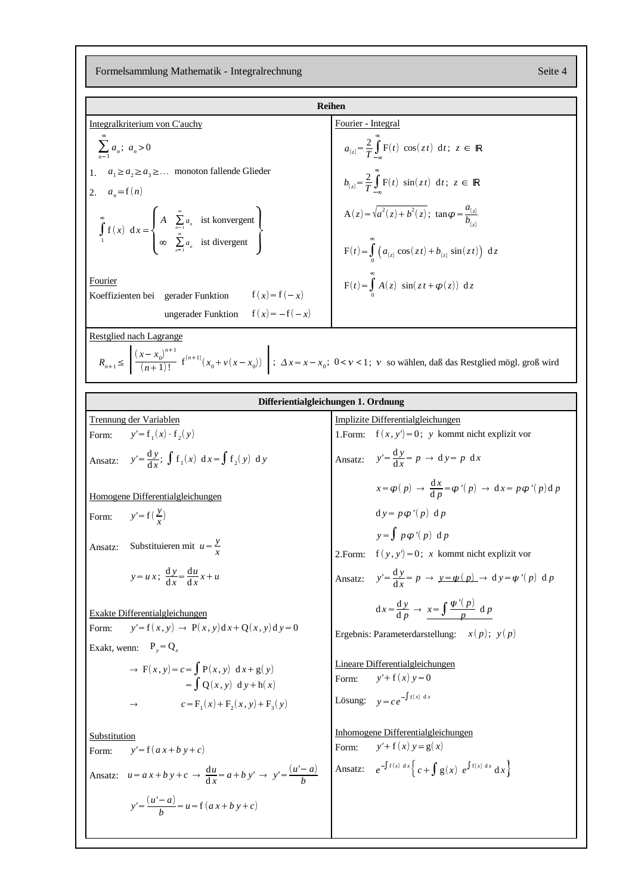Formelsammlung Mathematik - Integralrechnung Seite 4

| <b>Reihen</b>                                                                                                                                                                                                 |                                                                                                                                                   |  |  |  |  |
|---------------------------------------------------------------------------------------------------------------------------------------------------------------------------------------------------------------|---------------------------------------------------------------------------------------------------------------------------------------------------|--|--|--|--|
| Integralkriterium von C'auchy                                                                                                                                                                                 | Fourier - Integral                                                                                                                                |  |  |  |  |
| $\sum_{n} a_n$ ; $a_n > 0$                                                                                                                                                                                    | $a_{(z)} = \frac{2}{T} \int_{0}^{\infty} F(t) \cos(zt) dt$ ; $z \in \mathbb{R}$                                                                   |  |  |  |  |
| 1. $a_1 \ge a_2 \ge a_3 \ge \dots$ monoton fallende Glieder                                                                                                                                                   |                                                                                                                                                   |  |  |  |  |
| 2. $a_n = f(n)$                                                                                                                                                                                               | $b_{(z)} = \frac{2}{T} \int F(t) \sin(zt) dt$ ; $z \in \mathbb{R}$                                                                                |  |  |  |  |
| $\int_{1}^{\infty} f(x) dx = \begin{cases} A & \sum_{n=1}^{\infty} a_n \text{ ist konvergent} \\ \infty & \sum_{n=1}^{\infty} a_n \text{ ist divergent} \end{cases}$                                          | $A(z) = \sqrt{a^2(z) + b^2(z)}$ ; $\tan \varphi = \frac{a_{(z)}}{b_{(z)}}$<br>$F(t) = \int_{a}^{\infty} (a_{(z)} \cos(zt) + b_{(z)} \sin(zt)) dz$ |  |  |  |  |
| Fourier<br>Koeffizienten bei gerader Funktion $f(x)=f(-x)$<br>ungerader Funktion $f(x) = -f(-x)$                                                                                                              | $F(t) = \int_{0}^{t} A(z) \sin(zt + \varphi(z)) dz$                                                                                               |  |  |  |  |
|                                                                                                                                                                                                               |                                                                                                                                                   |  |  |  |  |
| Restglied nach Lagrange<br>$R_{n+1} \leq \left  \frac{(x-x_0)^{n+1}}{(n+1)!} \right  f^{(n+1)}(x_0 + v(x-x_0)) \right $ ; $\Delta x = x - x_0$ ; $0 < v < 1$ ; v so wählen, daß das Restglied mögl. groß wird |                                                                                                                                                   |  |  |  |  |
| Differientialgleichungen 1. Ordnung                                                                                                                                                                           |                                                                                                                                                   |  |  |  |  |
| <b>Trennung der Variablen</b>                                                                                                                                                                                 | Implizite Differentialgleichungen                                                                                                                 |  |  |  |  |
| $y' = f_1(x) \cdot f_2(y)$<br>Form:                                                                                                                                                                           | $f(x, y') = 0$ ; y kommt nicht explizit vor<br>1.Form:                                                                                            |  |  |  |  |
| Ansatz: $y' = \frac{dy}{dx}$ ; $\int f_1(x) dx = \int f_2(y) dy$                                                                                                                                              | Ansatz: $y' = \frac{dy}{dx} = p \rightarrow dy = p dx$                                                                                            |  |  |  |  |
| Homogene Differentialgleichungen                                                                                                                                                                              | $x = \varphi(p) \rightarrow \frac{dx}{dp} = \varphi'(p) \rightarrow dx = p \varphi'(p) dp$                                                        |  |  |  |  |
| $y' = f(\frac{y}{r})$<br>Form:                                                                                                                                                                                | $d y = p \varphi'(p) d p$                                                                                                                         |  |  |  |  |
| Substituieren mit $u = \frac{y}{x}$<br>Ansatz:                                                                                                                                                                | $y = \int p \varphi'(p) d p$<br>2. Form: $f(y, y') = 0$ ; x kommt nicht explizit vor                                                              |  |  |  |  |
| $y = u x$ ; $\frac{dy}{dx} = \frac{du}{dx}x + u$                                                                                                                                                              | Ansatz: $y' = \frac{dy}{dx} = p \rightarrow y = \psi(p) \rightarrow dy = \psi'(p) dp$                                                             |  |  |  |  |
| Exakte Differentialgleichungen<br>$y' = f(x, y) \rightarrow P(x, y)dx + Q(x, y)dy = 0$<br>Form:                                                                                                               | $dx = \frac{dy}{dp} \rightarrow x = \int \frac{\psi'(p)}{p} dp$<br>Ergebnis: Parameterdarstellung: $x(p)$ ; $y(p)$                                |  |  |  |  |
| Exakt, wenn: $P_y = Q_x$                                                                                                                                                                                      |                                                                                                                                                   |  |  |  |  |
| $\rightarrow$ F(x, y) = c = $\int$ P(x, y) dx + g(y)<br>$=\int O(x, y) dy + h(x)$                                                                                                                             | Lineare Differentialgleichungen<br>$y'+f(x)y=0$<br>Form:                                                                                          |  |  |  |  |
| $c = F_1(x) + F_2(x, y) + F_3(y)$                                                                                                                                                                             | Lösung: $y = ce^{-\int f(x) dx}$                                                                                                                  |  |  |  |  |
| Substitution                                                                                                                                                                                                  | Inhomogene Differentialgleichungen                                                                                                                |  |  |  |  |
| $y' = f(ax+b y+c)$<br>Form:                                                                                                                                                                                   | $y' + f(x) y = g(x)$<br>Form:                                                                                                                     |  |  |  |  |
| Ansatz: $u = a x + b y + c \rightarrow \frac{du}{dx} = a + b y' \rightarrow y' = \frac{(u' - a)}{b}$                                                                                                          | Ansatz: $e^{-\int f(x) dx} \Big\{ c + \int g(x) e^{\int f(x) dx} dx \Big\}$                                                                       |  |  |  |  |
| $y' = \frac{(u'-a)}{b} = u = f(a x + b y + c)$                                                                                                                                                                |                                                                                                                                                   |  |  |  |  |